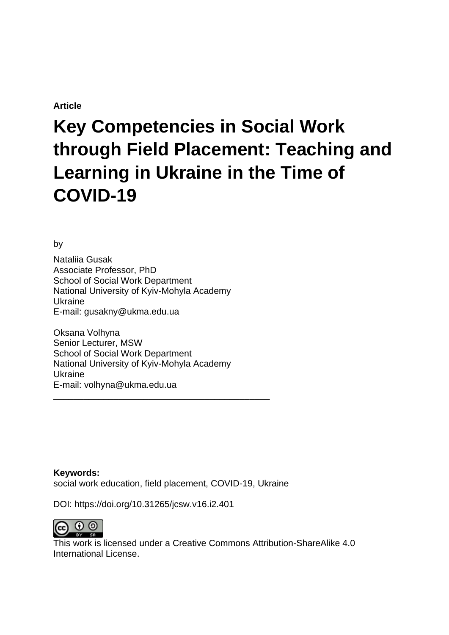# **Article**

# **Key Competencies in Social Work through Field Placement: Teaching and Learning in Ukraine in the Time of COVID-19**

by

Nataliia Gusak Associate Professor, PhD School of Social Work Department National University of Kyiv-Mohyla Academy Ukraine E-mail: gusakny@ukma.edu.ua

Oksana Volhyna Senior Lecturer, MSW School of Social Work Department National University of Kyiv-Mohyla Academy Ukraine E-mail: volhyna@ukma.edu.ua

\_\_\_\_\_\_\_\_\_\_\_\_\_\_\_\_\_\_\_\_\_\_\_\_\_\_\_\_\_\_\_\_\_\_\_\_\_\_\_\_\_\_\_

**Keywords:** social work education, field placement, COVID-19, Ukraine

DOI: https://doi.org/10.31265/jcsw.v16.i2.401



This work is licensed under a Creative Commons Attribution-ShareAlike 4.0 International License.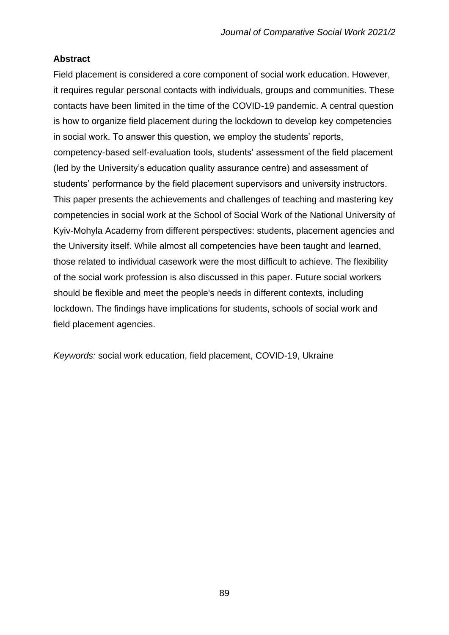# **Abstract**

Field placement is considered a core component of social work education. However, it requires regular personal contacts with individuals, groups and communities. These contacts have been limited in the time of the COVID-19 pandemic. A central question is how to organize field placement during the lockdown to develop key competencies in social work. To answer this question, we employ the students' reports, competency-based self-evaluation tools, students' assessment of the field placement (led by the University's education quality assurance centre) and assessment of students' performance by the field placement supervisors and university instructors. This paper presents the achievements and challenges of teaching and mastering key competencies in social work at the School of Social Work of the National University of Kyiv-Mohyla Academy from different perspectives: students, placement agencies and the University itself. While almost all competencies have been taught and learned, those related to individual casework were the most difficult to achieve. The flexibility of the social work profession is also discussed in this paper. Future social workers should be flexible and meet the people's needs in different contexts, including lockdown. The findings have implications for students, schools of social work and field placement agencies.

*Keywords:* social work education, field placement, COVID-19, Ukraine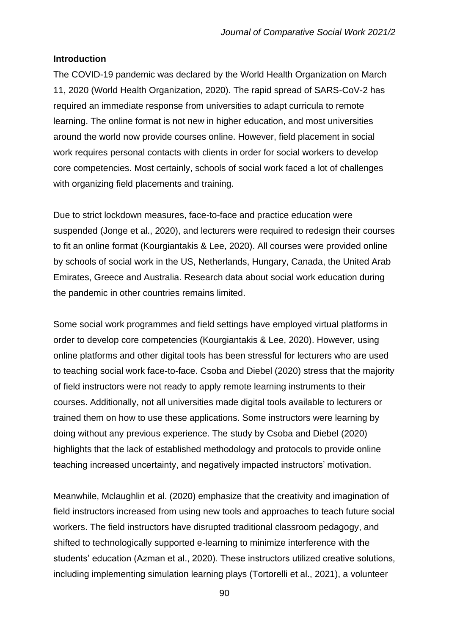# **Introduction**

The COVID-19 pandemic was declared by the World Health Organization on March 11, 2020 (World Health Organization, 2020). The rapid spread of SARS-CoV-2 has required an immediate response from universities to adapt curricula to remote learning. The online format is not new in higher education, and most universities around the world now provide courses online. However, field placement in social work requires personal contacts with clients in order for social workers to develop core competencies. Most certainly, schools of social work faced a lot of challenges with organizing field placements and training.

Due to strict lockdown measures, face-to-face and practice education were suspended (Jonge et al., 2020), and lecturers were required to redesign their courses to fit an online format (Kourgiantakis & Lee, 2020). All courses were provided online by schools of social work in the US, Netherlands, Hungary, Canada, the United Arab Emirates, Greece and Australia. Research data about social work education during the pandemic in other countries remains limited.

Some social work programmes and field settings have employed virtual platforms in order to develop core competencies (Kourgiantakis & Lee, 2020). However, using online platforms and other digital tools has been stressful for lecturers who are used to teaching social work face-to-face. Csoba and Diebel (2020) stress that the majority of field instructors were not ready to apply remote learning instruments to their courses. Additionally, not all universities made digital tools available to lecturers or trained them on how to use these applications. Some instructors were learning by doing without any previous experience. The study by Csoba and Diebel (2020) highlights that the lack of established methodology and protocols to provide online teaching increased uncertainty, and negatively impacted instructors' motivation.

Meanwhile, Mclaughlin et al. (2020) emphasize that the creativity and imagination of field instructors increased from using new tools and approaches to teach future social workers. The field instructors have disrupted traditional classroom pedagogy, and shifted to technologically supported e-learning to minimize interference with the students' education (Azman et al., 2020). These instructors utilized creative solutions, including implementing simulation learning plays (Tortorelli et al., 2021), a volunteer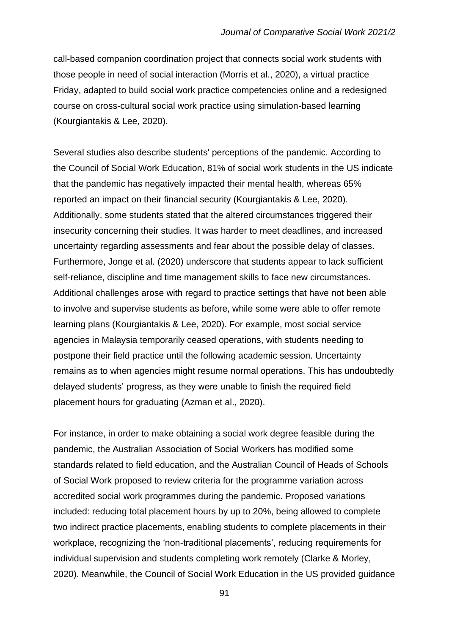call-based companion coordination project that connects social work students with those people in need of social interaction (Morris et al., 2020), a virtual practice Friday, adapted to build social work practice competencies online and a redesigned course on cross-cultural social work practice using simulation-based learning (Kourgiantakis & Lee, 2020).

Several studies also describe students' perceptions of the pandemic. According to the Council of Social Work Education, 81% of social work students in the US indicate that the pandemic has negatively impacted their mental health, whereas 65% reported an impact on their financial security (Kourgiantakis & Lee, 2020). Additionally, some students stated that the altered circumstances triggered their insecurity concerning their studies. It was harder to meet deadlines, and increased uncertainty regarding assessments and fear about the possible delay of classes. Furthermore, Jonge et al. (2020) underscore that students appear to lack sufficient self-reliance, discipline and time management skills to face new circumstances. Additional challenges arose with regard to practice settings that have not been able to involve and supervise students as before, while some were able to offer remote learning plans (Kourgiantakis & Lee, 2020). For example, most social service agencies in Malaysia temporarily ceased operations, with students needing to postpone their field practice until the following academic session. Uncertainty remains as to when agencies might resume normal operations. This has undoubtedly delayed students' progress, as they were unable to finish the required field placement hours for graduating (Azman et al., 2020).

For instance, in order to make obtaining a social work degree feasible during the pandemic, the Australian Association of Social Workers has modified some standards related to field education, and the Australian Council of Heads of Schools of Social Work proposed to review criteria for the programme variation across accredited social work programmes during the pandemic. Proposed variations included: reducing total placement hours by up to 20%, being allowed to complete two indirect practice placements, enabling students to complete placements in their workplace, recognizing the 'non-traditional placements', reducing requirements for individual supervision and students completing work remotely (Clarke & Morley, 2020). Meanwhile, the Council of Social Work Education in the US provided guidance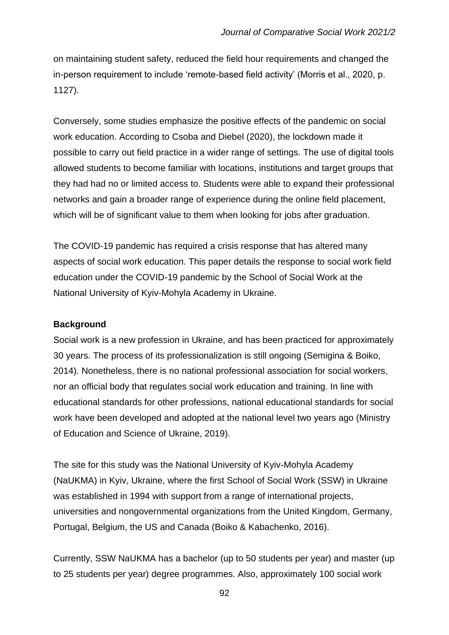on maintaining student safety, reduced the field hour requirements and changed the in-person requirement to include 'remote-based field activity' (Morris et al., 2020, p. 1127).

Conversely, some studies emphasize the positive effects of the pandemic on social work education. According to Csoba and Diebel (2020), the lockdown made it possible to carry out field practice in a wider range of settings. The use of digital tools allowed students to become familiar with locations, institutions and target groups that they had had no or limited access to. Students were able to expand their professional networks and gain a broader range of experience during the online field placement, which will be of significant value to them when looking for jobs after graduation.

The COVID-19 pandemic has required a crisis response that has altered many aspects of social work education. This paper details the response to social work field education under the COVID-19 pandemic by the School of Social Work at the National University of Kyiv-Mohyla Academy in Ukraine.

#### **Background**

Social work is a new profession in Ukraine, and has been practiced for approximately 30 years. The process of its professionalization is still ongoing (Semigina & Boiko, 2014). Nonetheless, there is no national professional association for social workers, nor an official body that regulates social work education and training. In line with educational standards for other professions, national educational standards for social work have been developed and adopted at the national level two years ago (Ministry of Education and Science of Ukraine, 2019).

The site for this study was the National University of Kyiv-Mohyla Academy (NaUKMA) in Kyiv, Ukraine, where the first School of Social Work (SSW) in Ukraine was established in 1994 with support from a range of international projects, universities and nongovernmental organizations from the United Kingdom, Germany, Portugal, Belgium, the US and Canada (Boiko & Kabachenko, 2016).

Currently, SSW NaUKMA has a bachelor (up to 50 students per year) and master (up to 25 students per year) degree programmes. Also, approximately 100 social work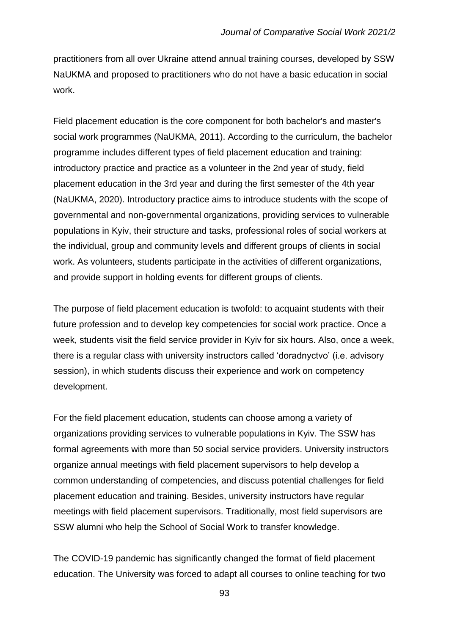practitioners from all over Ukraine attend annual training courses, developed by SSW NaUKMA and proposed to practitioners who do not have a basic education in social work.

Field placement education is the core component for both bachelor's and master's social work programmes (NaUKMA, 2011). According to the curriculum, the bachelor programme includes different types of field placement education and training: introductory practice and practice as a volunteer in the 2nd year of study, field placement education in the 3rd year and during the first semester of the 4th year (NaUKMA, 2020). Introductory practice aims to introduce students with the scope of governmental and non-governmental organizations, providing services to vulnerable populations in Kyiv, their structure and tasks, professional roles of social workers at the individual, group and community levels and different groups of clients in social work. As volunteers, students participate in the activities of different organizations, and provide support in holding events for different groups of clients.

The purpose of field placement education is twofold: to acquaint students with their future profession and to develop key competencies for social work practice. Once a week, students visit the field service provider in Kyiv for six hours. Also, once a week, there is a regular class with university instructors called 'doradnyctvo' (i.e. advisory session), in which students discuss their experience and work on competency development.

For the field placement education, students can choose among a variety of organizations providing services to vulnerable populations in Kyiv. The SSW has formal agreements with more than 50 social service providers. University instructors organize annual meetings with field placement supervisors to help develop a common understanding of competencies, and discuss potential challenges for field placement education and training. Besides, university instructors have regular meetings with field placement supervisors. Traditionally, most field supervisors are SSW alumni who help the School of Social Work to transfer knowledge.

The COVID-19 pandemic has significantly changed the format of field placement education. The University was forced to adapt all courses to online teaching for two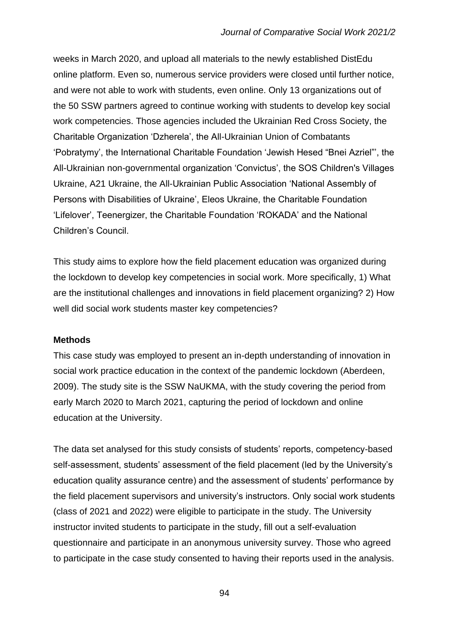weeks in March 2020, and upload all materials to the newly established DistEdu online platform. Even so, numerous service providers were closed until further notice, and were not able to work with students, even online. Only 13 organizations out of the 50 SSW partners agreed to continue working with students to develop key social work competencies. Those agencies included the Ukrainian Red Cross Society, the Charitable Organization 'Dzherela', the All-Ukrainian Union of Combatants 'Pobratymy', the International Charitable Foundation 'Jewish Hesed "Bnei Azriel"', the All-Ukrainian non-governmental organization 'Convictus', the SOS Children's Villages Ukraine, A21 Ukraine, the All-Ukrainian Public Association 'National Assembly of Persons with Disabilities of Ukraine', Eleos Ukraine, the Charitable Foundation 'Lifelover', Teenergizer, the Charitable Foundation 'ROKADA' and the National Children's Council.

This study aims to explore how the field placement education was organized during the lockdown to develop key competencies in social work. More specifically, 1) What are the institutional challenges and innovations in field placement organizing? 2) How well did social work students master key competencies?

#### **Methods**

This case study was employed to present an in-depth understanding of innovation in social work practice education in the context of the pandemic lockdown (Aberdeen, 2009). The study site is the SSW NaUKMA, with the study covering the period from early March 2020 to March 2021, capturing the period of lockdown and online education at the University.

The data set analysed for this study consists of students' reports, competency-based self-assessment, students' assessment of the field placement (led by the University's education quality assurance centre) and the assessment of students' performance by the field placement supervisors and university's instructors. Only social work students (class of 2021 and 2022) were eligible to participate in the study. The University instructor invited students to participate in the study, fill out a self-evaluation questionnaire and participate in an anonymous university survey. Those who agreed to participate in the case study consented to having their reports used in the analysis.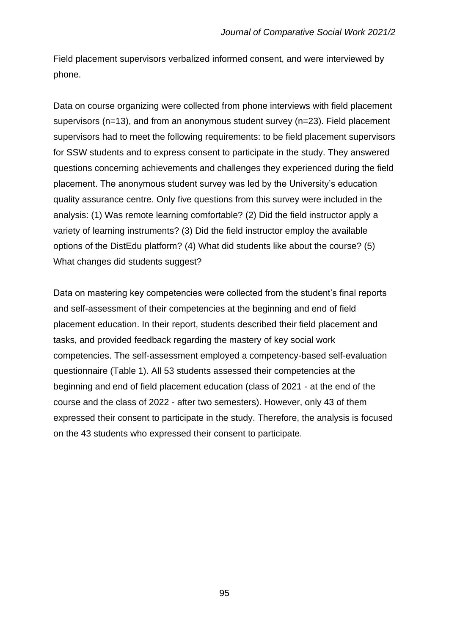Field placement supervisors verbalized informed consent, and were interviewed by phone.

Data on course organizing were collected from phone interviews with field placement supervisors (n=13), and from an anonymous student survey (n=23). Field placement supervisors had to meet the following requirements: to be field placement supervisors for SSW students and to express consent to participate in the study. They answered questions concerning achievements and challenges they experienced during the field placement. The anonymous student survey was led by the University's education quality assurance centre. Only five questions from this survey were included in the analysis: (1) Was remote learning comfortable? (2) Did the field instructor apply a variety of learning instruments? (3) Did the field instructor employ the available options of the DistEdu platform? (4) What did students like about the course? (5) What changes did students suggest?

Data on mastering key competencies were collected from the student's final reports and self-assessment of their competencies at the beginning and end of field placement education. In their report, students described their field placement and tasks, and provided feedback regarding the mastery of key social work competencies. The self-assessment employed a competency-based self-evaluation questionnaire (Table 1). All 53 students assessed their competencies at the beginning and end of field placement education (class of 2021 - at the end of the course and the class of 2022 - after two semesters). However, only 43 of them expressed their consent to participate in the study. Therefore, the analysis is focused on the 43 students who expressed their consent to participate.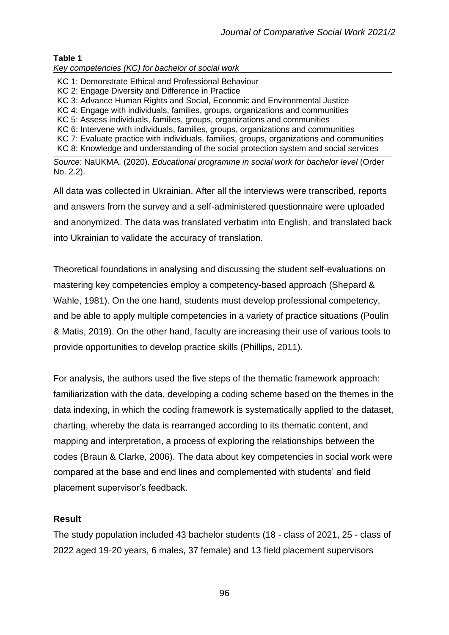# **Table 1**

*Key competencies (KC) for bachelor of social work* 

- KC 1: Demonstrate Ethical and Professional Behaviour
- KC 2: Engage Diversity and Difference in Practice
- KC 3: Advance Human Rights and Social, Economic and Environmental Justice
- KC 4: Engage with individuals, families, groups, organizations and communities
- KC 5: Assess individuals, families, groups, organizations and communities

KC 6: Intervene with individuals, families, groups, organizations and communities

KC 7: Evaluate practice with individuals, families, groups, organizations and communities

KC 8: Knowledge and understanding of the social protection system and social services

*Source*: NaUKMA. (2020). *Educational programme in social work for bachelor level* (Order No. 2.2).

All data was collected in Ukrainian. After all the interviews were transcribed, reports and answers from the survey and a self-administered questionnaire were uploaded and anonymized. The data was translated verbatim into English, and translated back into Ukrainian to validate the accuracy of translation.

Theoretical foundations in analysing and discussing the student self-evaluations on mastering key competencies employ a competency-based approach (Shepard & Wahle, 1981). On the one hand, students must develop professional competency, and be able to apply multiple competencies in a variety of practice situations (Poulin & Matis, 2019). On the other hand, faculty are increasing their use of various tools to provide opportunities to develop practice skills (Phillips, 2011).

For analysis, the authors used the five steps of the thematic framework approach: familiarization with the data, developing a coding scheme based on the themes in the data indexing, in which the coding framework is systematically applied to the dataset, charting, whereby the data is rearranged according to its thematic content, and mapping and interpretation, a process of exploring the relationships between the codes (Braun & Clarke, 2006). The data about key competencies in social work were compared at the base and end lines and complemented with students' and field placement supervisor's feedback.

# **Result**

The study population included 43 bachelor students (18 - class of 2021, 25 - class of 2022 aged 19-20 years, 6 males, 37 female) and 13 field placement supervisors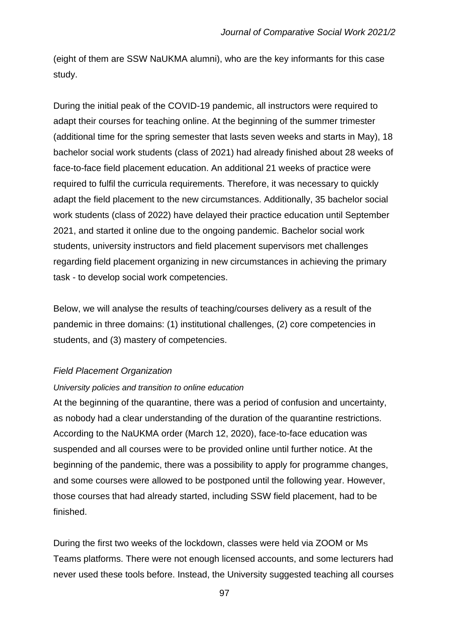(eight of them are SSW NaUKMA alumni), who are the key informants for this case study.

During the initial peak of the COVID-19 pandemic, all instructors were required to adapt their courses for teaching online. At the beginning of the summer trimester (additional time for the spring semester that lasts seven weeks and starts in May), 18 bachelor social work students (class of 2021) had already finished about 28 weeks of face-to-face field placement education. An additional 21 weeks of practice were required to fulfil the curricula requirements. Therefore, it was necessary to quickly adapt the field placement to the new circumstances. Additionally, 35 bachelor social work students (class of 2022) have delayed their practice education until September 2021, and started it online due to the ongoing pandemic. Bachelor social work students, university instructors and field placement supervisors met challenges regarding field placement organizing in new circumstances in achieving the primary task - to develop social work competencies.

Below, we will analyse the results of teaching/courses delivery as a result of the pandemic in three domains: (1) institutional challenges, (2) core competencies in students, and (3) mastery of competencies.

#### *Field Placement Organization*

#### *University policies and transition to online education*

At the beginning of the quarantine, there was a period of confusion and uncertainty, as nobody had a clear understanding of the duration of the quarantine restrictions. According to the NaUKMA order (March 12, 2020), face-to-face education was suspended and all courses were to be provided online until further notice. At the beginning of the pandemic, there was a possibility to apply for programme changes, and some courses were allowed to be postponed until the following year. However, those courses that had already started, including SSW field placement, had to be finished.

During the first two weeks of the lockdown, classes were held via ZOOM or Ms Teams platforms. There were not enough licensed accounts, and some lecturers had never used these tools before. Instead, the University suggested teaching all courses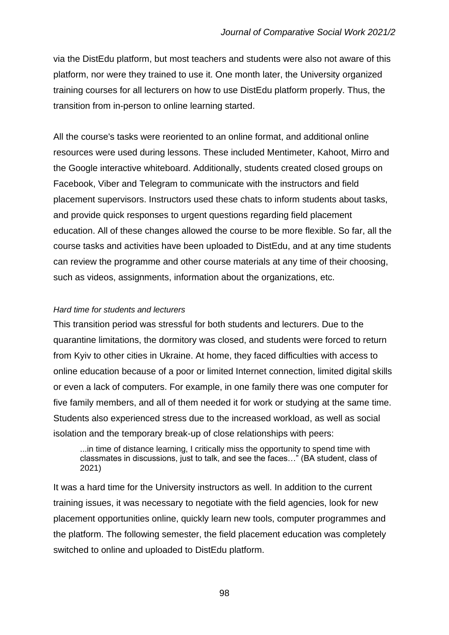via the DistEdu platform, but most teachers and students were also not aware of this platform, nor were they trained to use it. One month later, the University organized training courses for all lecturers on how to use DistEdu platform properly. Thus, the transition from in-person to online learning started.

All the course's tasks were reoriented to an online format, and additional online resources were used during lessons. These included Mentimeter, Kahoot, Mirro and the Google interactive whiteboard. Additionally, students created closed groups on Facebook, Viber and Telegram to communicate with the instructors and field placement supervisors. Instructors used these chats to inform students about tasks, and provide quick responses to urgent questions regarding field placement education. All of these changes allowed the course to be more flexible. So far, all the course tasks and activities have been uploaded to DistEdu, and at any time students can review the programme and other course materials at any time of their choosing, such as videos, assignments, information about the organizations, etc.

#### *Hard time for students and lecturers*

This transition period was stressful for both students and lecturers. Due to the quarantine limitations, the dormitory was closed, and students were forced to return from Kyiv to other cities in Ukraine. At home, they faced difficulties with access to online education because of a poor or limited Internet connection, limited digital skills or even a lack of computers. For example, in one family there was one computer for five family members, and all of them needed it for work or studying at the same time. Students also experienced stress due to the increased workload, as well as social isolation and the temporary break-up of close relationships with peers:

...in time of distance learning, I critically miss the opportunity to spend time with classmates in discussions, just to talk, and see the faces…" (BA student, class of 2021)

It was a hard time for the University instructors as well. In addition to the current training issues, it was necessary to negotiate with the field agencies, look for new placement opportunities online, quickly learn new tools, computer programmes and the platform. The following semester, the field placement education was completely switched to online and uploaded to DistEdu platform.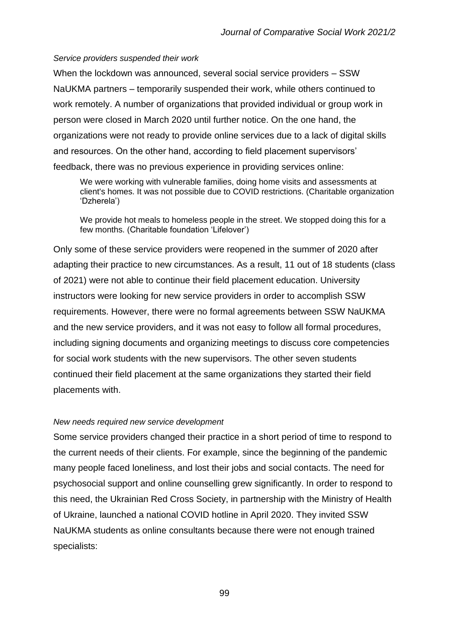#### *Service providers suspended their work*

When the lockdown was announced, several social service providers – SSW NaUKMA partners – temporarily suspended their work, while others continued to work remotely. A number of organizations that provided individual or group work in person were closed in March 2020 until further notice. On the one hand, the organizations were not ready to provide online services due to a lack of digital skills and resources. On the other hand, according to field placement supervisors' feedback, there was no previous experience in providing services online:

We were working with vulnerable families, doing home visits and assessments at client's homes. It was not possible due to COVID restrictions. (Charitable organization 'Dzherela')

We provide hot meals to homeless people in the street. We stopped doing this for a few months. (Charitable foundation 'Lifelover')

Only some of these service providers were reopened in the summer of 2020 after adapting their practice to new circumstances. As a result, 11 out of 18 students (class of 2021) were not able to continue their field placement education. University instructors were looking for new service providers in order to accomplish SSW requirements. However, there were no formal agreements between SSW NaUKMA and the new service providers, and it was not easy to follow all formal procedures, including signing documents and organizing meetings to discuss core competencies for social work students with the new supervisors. The other seven students continued their field placement at the same organizations they started their field placements with.

#### *New needs required new service development*

Some service providers changed their practice in a short period of time to respond to the current needs of their clients. For example, since the beginning of the pandemic many people faced loneliness, and lost their jobs and social contacts. The need for psychosocial support and online counselling grew significantly. In order to respond to this need, the Ukrainian Red Cross Society, in partnership with the Ministry of Health of Ukraine, launched a national COVID hotline in April 2020. They invited SSW NaUKMA students as online consultants because there were not enough trained specialists: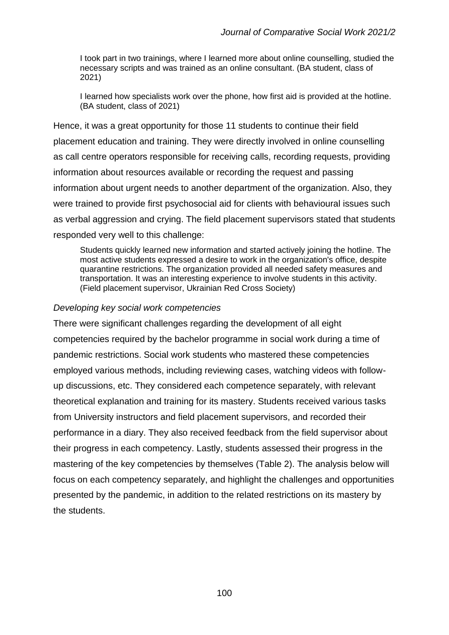I took part in two trainings, where I learned more about online counselling, studied the necessary scripts and was trained as an online consultant. (BA student, class of 2021)

I learned how specialists work over the phone, how first aid is provided at the hotline. (BA student, class of 2021)

Hence, it was a great opportunity for those 11 students to continue their field placement education and training. They were directly involved in online counselling as call centre operators responsible for receiving calls, recording requests, providing information about resources available or recording the request and passing information about urgent needs to another department of the organization. Also, they were trained to provide first psychosocial aid for clients with behavioural issues such as verbal aggression and crying. The field placement supervisors stated that students responded very well to this challenge:

Students quickly learned new information and started actively joining the hotline. The most active students expressed a desire to work in the organization's office, despite quarantine restrictions. The organization provided all needed safety measures and transportation. It was an interesting experience to involve students in this activity. (Field placement supervisor, Ukrainian Red Cross Society)

# *Developing key social work competencies*

There were significant challenges regarding the development of all eight competencies required by the bachelor programme in social work during a time of pandemic restrictions. Social work students who mastered these competencies employed various methods, including reviewing cases, watching videos with followup discussions, etc. They considered each competence separately, with relevant theoretical explanation and training for its mastery. Students received various tasks from University instructors and field placement supervisors, and recorded their performance in a diary. They also received feedback from the field supervisor about their progress in each competency. Lastly, students assessed their progress in the mastering of the key competencies by themselves (Table 2). The analysis below will focus on each competency separately, and highlight the challenges and opportunities presented by the pandemic, in addition to the related restrictions on its mastery by the students.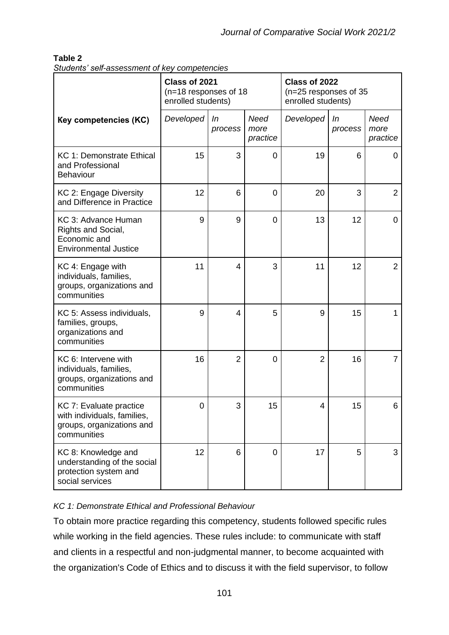# **Table 2**

| Students' self-assessment of key competencies |  |
|-----------------------------------------------|--|
|-----------------------------------------------|--|

|                                                                                                    | Class of 2021<br>(n=18 responses of 18<br>enrolled students) |                |                          | Class of 2022<br>(n=25 responses of 35<br>enrolled students) |               |                          |
|----------------------------------------------------------------------------------------------------|--------------------------------------------------------------|----------------|--------------------------|--------------------------------------------------------------|---------------|--------------------------|
| <b>Key competencies (KC)</b>                                                                       | Developed                                                    | In<br>process  | Need<br>more<br>practice | Developed                                                    | In<br>process | Need<br>more<br>practice |
| KC 1: Demonstrate Ethical<br>and Professional<br><b>Behaviour</b>                                  | 15                                                           | 3              | 0                        | 19                                                           | 6             | 0                        |
| KC 2: Engage Diversity<br>and Difference in Practice                                               | 12                                                           | 6              | 0                        | 20                                                           | 3             | $\overline{2}$           |
| KC 3: Advance Human<br>Rights and Social,<br>Economic and<br><b>Environmental Justice</b>          | 9                                                            | 9              | $\overline{0}$           | 13                                                           | 12            | $\mathbf 0$              |
| KC 4: Engage with<br>individuals, families,<br>groups, organizations and<br>communities            | 11                                                           | 4              | 3                        | 11                                                           | 12            | $\overline{2}$           |
| KC 5: Assess individuals,<br>families, groups,<br>organizations and<br>communities                 | 9                                                            | 4              | 5                        | 9                                                            | 15            | 1                        |
| KC 6: Intervene with<br>individuals, families,<br>groups, organizations and<br>communities         | 16                                                           | $\overline{2}$ | 0                        | $\overline{2}$                                               | 16            | $\overline{7}$           |
| KC 7: Evaluate practice<br>with individuals, families,<br>groups, organizations and<br>communities | 0                                                            | 3              | 15                       | 4                                                            | 15            | 6                        |
| KC 8: Knowledge and<br>understanding of the social<br>protection system and<br>social services     | 12                                                           | 6              | $\overline{0}$           | 17                                                           | 5             | 3                        |

# *KC 1: Demonstrate Ethical and Professional Behaviour*

To obtain more practice regarding this competency, students followed specific rules while working in the field agencies. These rules include: to communicate with staff and clients in a respectful and non-judgmental manner, to become acquainted with the organization's Code of Ethics and to discuss it with the field supervisor, to follow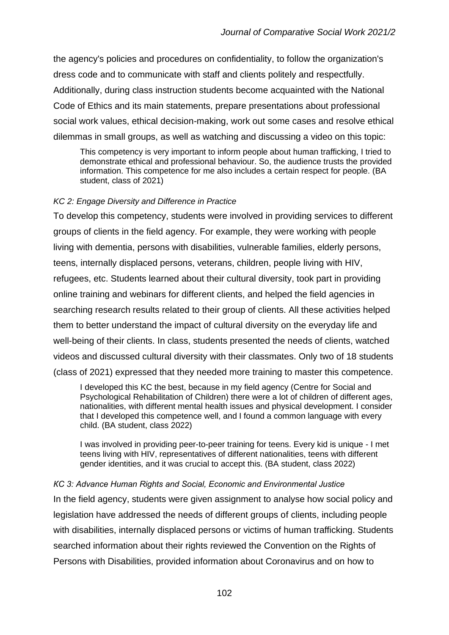the agency's policies and procedures on confidentiality, to follow the organization's dress code and to communicate with staff and clients politely and respectfully. Additionally, during class instruction students become acquainted with the National Code of Ethics and its main statements, prepare presentations about professional social work values, ethical decision-making, work out some cases and resolve ethical dilemmas in small groups, as well as watching and discussing a video on this topic:

This competency is very important to inform people about human trafficking, I tried to demonstrate ethical and professional behaviour. So, the audience trusts the provided information. This competence for me also includes a certain respect for people. (BA student, class of 2021)

# *KC 2: Engage Diversity and Difference in Practice*

To develop this competency, students were involved in providing services to different groups of clients in the field agency. For example, they were working with people living with dementia, persons with disabilities, vulnerable families, elderly persons, teens, internally displaced persons, veterans, children, people living with HIV, refugees, etc. Students learned about their cultural diversity, took part in providing online training and webinars for different clients, and helped the field agencies in searching research results related to their group of clients. All these activities helped them to better understand the impact of cultural diversity on the everyday life and well-being of their clients. In class, students presented the needs of clients, watched videos and discussed cultural diversity with their classmates. Only two of 18 students (class of 2021) expressed that they needed more training to master this competence.

I developed this KC the best, because in my field agency (Centre for Social and Psychological Rehabilitation of Children) there were a lot of children of different ages, nationalities, with different mental health issues and physical development. I consider that I developed this competence well, and I found a common language with every child. (BA student, class 2022)

I was involved in providing peer-to-peer training for teens. Every kid is unique - I met teens living with HIV, representatives of different nationalities, teens with different gender identities, and it was crucial to accept this. (BA student, class 2022)

# *КC 3: Advance Human Rights and Social, Economic and Environmental Justice* In the field agency, students were given assignment to analyse how social policy and legislation have addressed the needs of different groups of clients, including people with disabilities, internally displaced persons or victims of human trafficking. Students searched information about their rights reviewed the Convention on the Rights of Persons with Disabilities, provided information about Coronavirus and on how to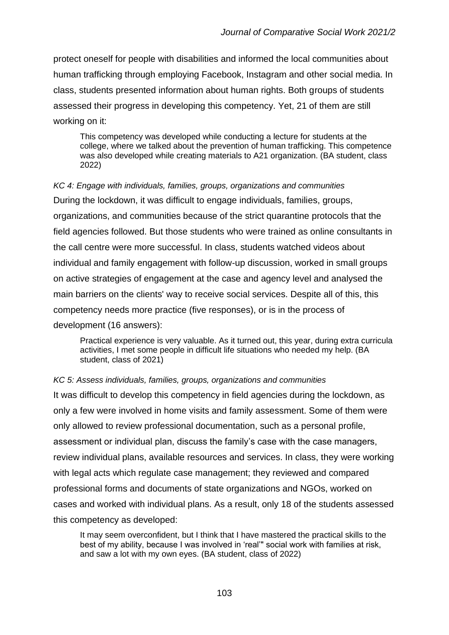protect oneself for people with disabilities and informed the local communities about human trafficking through employing Facebook, Instagram and other social media. In class, students presented information about human rights. Both groups of students assessed their progress in developing this competency. Yet, 21 of them are still working on it:

This competency was developed while conducting a lecture for students at the college, where we talked about the prevention of human trafficking. This competence was also developed while creating materials to A21 organization. (BA student, class 2022)

*KC 4: Engage with individuals, families, groups, organizations and communities* During the lockdown, it was difficult to engage individuals, families, groups, organizations, and communities because of the strict quarantine protocols that the field agencies followed. But those students who were trained as online consultants in the call centre were more successful. In class, students watched videos about individual and family engagement with follow-up discussion, worked in small groups on active strategies of engagement at the case and agency level and analysed the main barriers on the clients' way to receive social services. Despite all of this, this competency needs more practice (five responses), or is in the process of development (16 answers):

Practical experience is very valuable. As it turned out, this year, during extra curricula activities, I met some people in difficult life situations who needed my help. (BA student, class of 2021)

#### *KC 5: Assess individuals, families, groups, organizations and communities*

It was difficult to develop this competency in field agencies during the lockdown, as only a few were involved in home visits and family assessment. Some of them were only allowed to review professional documentation, such as a personal profile, assessment or individual plan, discuss the family's case with the case managers, review individual plans, available resources and services. In class, they were working with legal acts which regulate case management; they reviewed and compared professional forms and documents of state organizations and NGOs, worked on cases and worked with individual plans. As a result, only 18 of the students assessed this competency as developed:

It may seem overconfident, but I think that I have mastered the practical skills to the best of my ability, because I was involved in 'real'" social work with families at risk, and saw a lot with my own eyes. (BA student, class of 2022)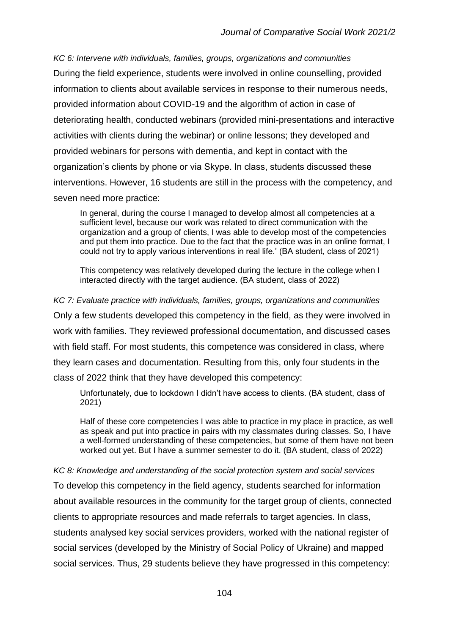*KC 6: Intervene with individuals, families, groups, organizations and communities* During the field experience, students were involved in online counselling, provided information to clients about available services in response to their numerous needs, provided information about COVID-19 and the algorithm of action in case of deteriorating health, conducted webinars (provided mini-presentations and interactive activities with clients during the webinar) or online lessons; they developed and provided webinars for persons with dementia, and kept in contact with the organization's clients by phone or via Skype. In class, students discussed these interventions. However, 16 students are still in the process with the competency, and seven need more practice:

In general, during the course I managed to develop almost all competencies at a sufficient level, because our work was related to direct communication with the organization and a group of clients, I was able to develop most of the competencies and put them into practice. Due to the fact that the practice was in an online format, I could not try to apply various interventions in real life.' (BA student, class of 2021)

This competency was relatively developed during the lecture in the college when I interacted directly with the target audience. (BA student, class of 2022)

*KC 7: Evaluate practice with individuals, families, groups, organizations and communities* Only a few students developed this competency in the field, as they were involved in work with families. They reviewed professional documentation, and discussed cases with field staff. For most students, this competence was considered in class, where they learn cases and documentation. Resulting from this, only four students in the class of 2022 think that they have developed this competency:

Unfortunately, due to lockdown I didn't have access to clients. (BA student, class of 2021)

Half of these core competencies I was able to practice in my place in practice, as well as speak and put into practice in pairs with my classmates during classes. So, I have a well-formed understanding of these competencies, but some of them have not been worked out yet. But I have a summer semester to do it. (BA student, class of 2022)

*KC 8: Knowledge and understanding of the social protection system and social services* To develop this competency in the field agency, students searched for information about available resources in the community for the target group of clients, connected clients to appropriate resources and made referrals to target agencies. In class, students analysed key social services providers, worked with the national register of social services (developed by the Ministry of Social Policy of Ukraine) and mapped social services. Thus, 29 students believe they have progressed in this competency: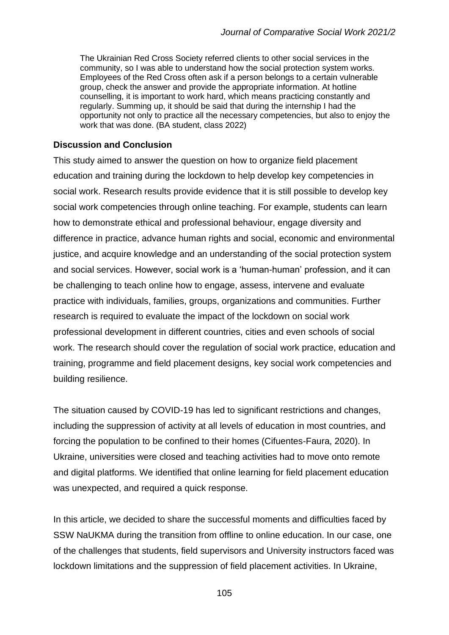The Ukrainian Red Cross Society referred clients to other social services in the community, so I was able to understand how the social protection system works. Employees of the Red Cross often ask if a person belongs to a certain vulnerable group, check the answer and provide the appropriate information. At hotline counselling, it is important to work hard, which means practicing constantly and regularly. Summing up, it should be said that during the internship I had the opportunity not only to practice all the necessary competencies, but also to enjoy the work that was done. (BA student, class 2022)

#### **Discussion and Conclusion**

This study aimed to answer the question on how to organize field placement education and training during the lockdown to help develop key competencies in social work. Research results provide evidence that it is still possible to develop key social work competencies through online teaching. For example, students can learn how to demonstrate ethical and professional behaviour, engage diversity and difference in practice, advance human rights and social, economic and environmental justice, and acquire knowledge and an understanding of the social protection system and social services. However, social work is a 'human-human' profession, and it can be challenging to teach online how to engage, assess, intervene and evaluate practice with individuals, families, groups, organizations and communities. Further research is required to evaluate the impact of the lockdown on social work professional development in different countries, cities and even schools of social work. The research should cover the regulation of social work practice, education and training, programme and field placement designs, key social work competencies and building resilience.

The situation caused by COVID-19 has led to significant restrictions and changes, including the suppression of activity at all levels of education in most countries, and forcing the population to be confined to their homes (Cifuentes-Faura, 2020). In Ukraine, universities were closed and teaching activities had to move onto remote and digital platforms. We identified that online learning for field placement education was unexpected, and required a quick response.

In this article, we decided to share the successful moments and difficulties faced by SSW NaUKMA during the transition from offline to online education. In our case, one of the challenges that students, field supervisors and University instructors faced was lockdown limitations and the suppression of field placement activities. In Ukraine,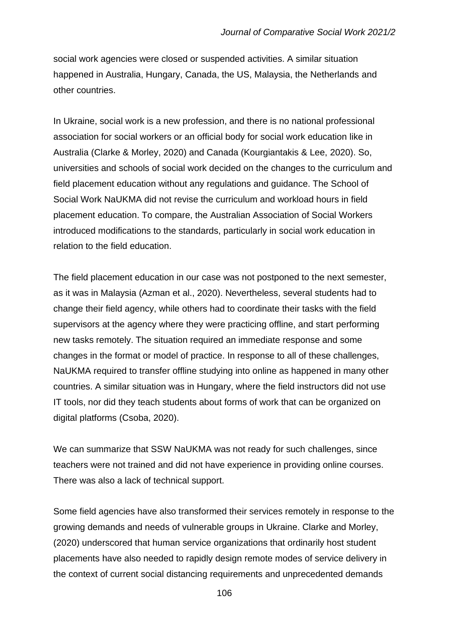social work agencies were closed or suspended activities. A similar situation happened in Australia, Hungary, Canada, the US, Malaysia, the Netherlands and other countries.

In Ukraine, social work is a new profession, and there is no national professional association for social workers or an official body for social work education like in Australia (Clarke & Morley, 2020) and Canada (Kourgiantakis & Lee, 2020). So, universities and schools of social work decided on the changes to the curriculum and field placement education without any regulations and guidance. The School of Social Work NaUKMA did not revise the curriculum and workload hours in field placement education. To compare, the Australian Association of Social Workers introduced modifications to the standards, particularly in social work education in relation to the field education.

The field placement education in our case was not postponed to the next semester, as it was in Malaysia (Azman et al., 2020). Nevertheless, several students had to change their field agency, while others had to coordinate their tasks with the field supervisors at the agency where they were practicing offline, and start performing new tasks remotely. The situation required an immediate response and some changes in the format or model of practice. In response to all of these challenges, NaUKMA required to transfer offline studying into online as happened in many other countries. A similar situation was in Hungary, where the field instructors did not use IT tools, nor did they teach students about forms of work that can be organized on digital platforms (Csoba, 2020).

We can summarize that SSW NaUKMA was not ready for such challenges, since teachers were not trained and did not have experience in providing online courses. There was also a lack of technical support.

Some field agencies have also transformed their services remotely in response to the growing demands and needs of vulnerable groups in Ukraine. Clarke and Morley, (2020) underscored that human service organizations that ordinarily host student placements have also needed to rapidly design remote modes of service delivery in the context of current social distancing requirements and unprecedented demands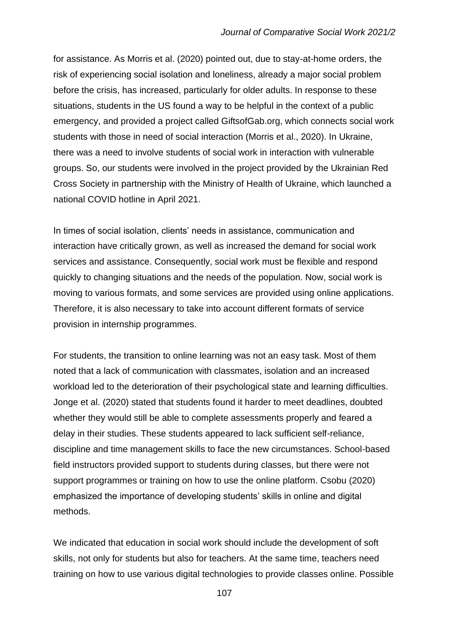for assistance. As Morris et al. (2020) pointed out, due to stay-at-home orders, the risk of experiencing social isolation and loneliness, already a major social problem before the crisis, has increased, particularly for older adults. In response to these situations, students in the US found a way to be helpful in the context of a public emergency, and provided a project called GiftsofGab.org, which connects social work students with those in need of social interaction (Morris et al., 2020). In Ukraine, there was a need to involve students of social work in interaction with vulnerable groups. So, our students were involved in the project provided by the Ukrainian Red Cross Society in partnership with the Ministry of Health of Ukraine, which launched a national COVID hotline in April 2021.

In times of social isolation, clients' needs in assistance, communication and interaction have critically grown, as well as increased the demand for social work services and assistance. Consequently, social work must be flexible and respond quickly to changing situations and the needs of the population. Now, social work is moving to various formats, and some services are provided using online applications. Therefore, it is also necessary to take into account different formats of service provision in internship programmes.

For students, the transition to online learning was not an easy task. Most of them noted that a lack of communication with classmates, isolation and an increased workload led to the deterioration of their psychological state and learning difficulties. Jonge et al. (2020) stated that students found it harder to meet deadlines, doubted whether they would still be able to complete assessments properly and feared a delay in their studies. These students appeared to lack sufficient self-reliance, discipline and time management skills to face the new circumstances. School-based field instructors provided support to students during classes, but there were not support programmes or training on how to use the online platform. Csobu (2020) emphasized the importance of developing students' skills in online and digital methods.

We indicated that education in social work should include the development of soft skills, not only for students but also for teachers. At the same time, teachers need training on how to use various digital technologies to provide classes online. Possible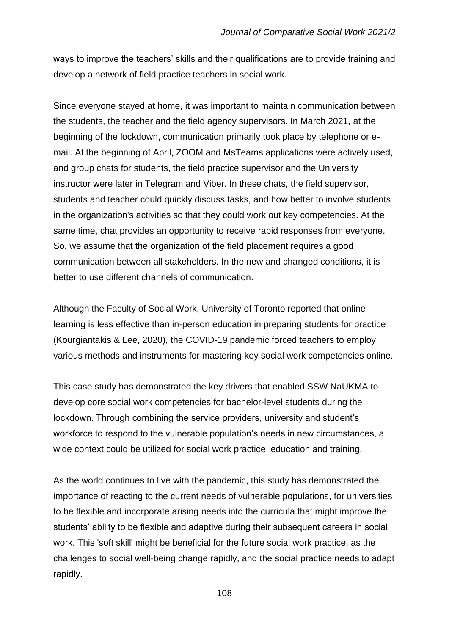ways to improve the teachers' skills and their qualifications are to provide training and develop a network of field practice teachers in social work.

Since everyone stayed at home, it was important to maintain communication between the students, the teacher and the field agency supervisors. In March 2021, at the beginning of the lockdown, communication primarily took place by telephone or email. At the beginning of April, ZOOM and MsTeams applications were actively used, and group chats for students, the field practice supervisor and the University instructor were later in Telegram and Viber. In these chats, the field supervisor, students and teacher could quickly discuss tasks, and how better to involve students in the organization's activities so that they could work out key competencies. At the same time, chat provides an opportunity to receive rapid responses from everyone. So, we assume that the organization of the field placement requires a good communication between all stakeholders. In the new and changed conditions, it is better to use different channels of communication.

Although the Faculty of Social Work, University of Toronto reported that online learning is less effective than in-person education in preparing students for practice (Kourgiantakis & Lee, 2020), the COVID-19 pandemic forced teachers to employ various methods and instruments for mastering key social work competencies online.

This case study has demonstrated the key drivers that enabled SSW NaUKMA to develop core social work competencies for bachelor-level students during the lockdown. Through combining the service providers, university and student's workforce to respond to the vulnerable population's needs in new circumstances, a wide context could be utilized for social work practice, education and training.

As the world continues to live with the pandemic, this study has demonstrated the importance of reacting to the current needs of vulnerable populations, for universities to be flexible and incorporate arising needs into the curricula that might improve the students' ability to be flexible and adaptive during their subsequent careers in social work. This 'soft skill' might be beneficial for the future social work practice, as the challenges to social well-being change rapidly, and the social practice needs to adapt rapidly.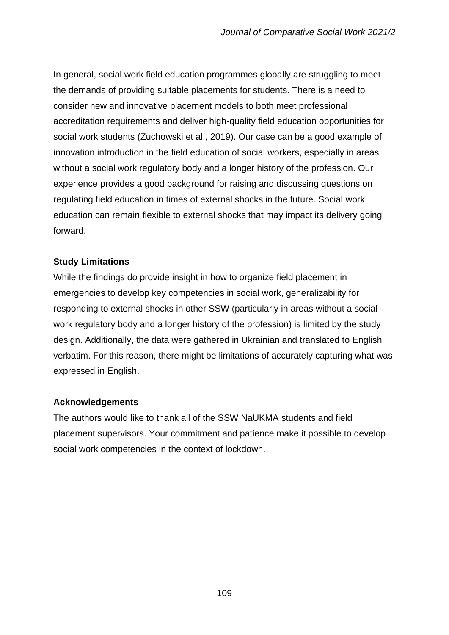In general, social work field education programmes globally are struggling to meet the demands of providing suitable placements for students. There is a need to consider new and innovative placement models to both meet professional accreditation requirements and deliver high-quality field education opportunities for social work students (Zuchowski et al., 2019). Our case can be a good example of innovation introduction in the field education of social workers, especially in areas without a social work regulatory body and a longer history of the profession. Our experience provides a good background for raising and discussing questions on regulating field education in times of external shocks in the future. Social work education can remain flexible to external shocks that may impact its delivery going forward.

# **Study Limitations**

While the findings do provide insight in how to organize field placement in emergencies to develop key competencies in social work, generalizability for responding to external shocks in other SSW (particularly in areas without a social work regulatory body and a longer history of the profession) is limited by the study design. Additionally, the data were gathered in Ukrainian and translated to English verbatim. For this reason, there might be limitations of accurately capturing what was expressed in English.

# **Acknowledgements**

The authors would like to thank all of the SSW NaUKMA students and field placement supervisors. Your commitment and patience make it possible to develop social work competencies in the context of lockdown.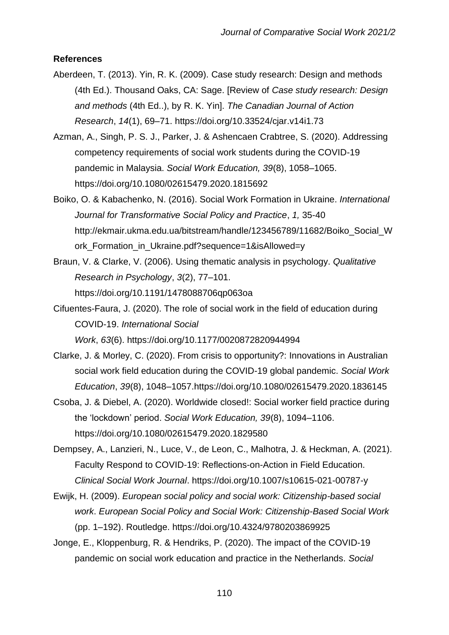# **References**

- Aberdeen, T. (2013). Yin, R. K. (2009). Case study research: Design and methods (4th Ed.). Thousand Oaks, CA: Sage. [Review of *Case study research: Design and methods* (4th Ed..), by R. K. Yin]. *The Canadian Journal of Action Research*, *14*(1), 69–71. https://doi.org/10.33524/cjar.v14i1.73
- Azman, A., Singh, P. S. J., Parker, J. & Ashencaen Crabtree, S. (2020). Addressing competency requirements of social work students during the COVID-19 pandemic in Malaysia. *Social Work Education, 39*(8), 1058–1065. https://doi.org/10.1080/02615479.2020.1815692
- Boiko, O. & Kabachenko, N. (2016). Social Work Formation in Ukraine. *International Journal for Transformative Social Policy and Practice*, *1,* 35-40 http://ekmair.ukma.edu.ua/bitstream/handle/123456789/11682/Boiko\_Social\_W ork\_Formation\_in\_Ukraine.pdf?sequence=1&isAllowed=y
- Braun, V. & Clarke, V. (2006). Using thematic analysis in psychology. *Qualitative Research in Psychology*, *3*(2), 77–101. https://doi.org/10.1191/1478088706qp063oa
- Cifuentes-Faura, J. (2020). The role of social work in the field of education during COVID-19. *International Social Work*, *63*(6). https://doi.org/10.1177/0020872820944994
- Clarke, J. & Morley, C. (2020). From crisis to opportunity?: Innovations in Australian social work field education during the COVID-19 global pandemic. *Social Work Education*, *39*(8), 1048–1057.https://doi.org/10.1080/02615479.2020.1836145
- Csoba, J. & Diebel, A. (2020). Worldwide closed!: Social worker field practice during the 'lockdown' period. *Social Work Education, 39*(8), 1094–1106. https://doi.org/10.1080/02615479.2020.1829580
- Dempsey, A., Lanzieri, N., Luce, V., de Leon, C., Malhotra, J. & Heckman, A. (2021). Faculty Respond to COVID-19: Reflections-on-Action in Field Education. *Clinical Social Work Journal*. https://doi.org/10.1007/s10615-021-00787-y
- Ewijk, H. (2009). *European social policy and social work: Citizenship-based social work*. *European Social Policy and Social Work: Citizenship-Based Social Work* (pp. 1–192). Routledge. https://doi.org/10.4324/9780203869925
- Jonge, E., Kloppenburg, R. & Hendriks, P. (2020). The impact of the COVID-19 pandemic on social work education and practice in the Netherlands. *Social*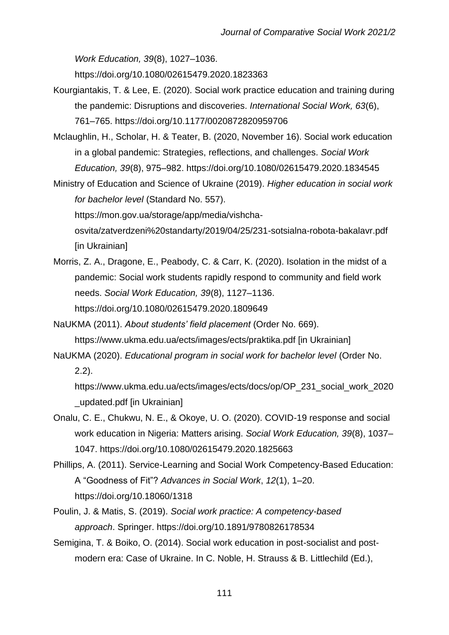*Work Education, 39*(8), 1027–1036.

https://doi.org/10.1080/02615479.2020.1823363

- Kourgiantakis, T. & Lee, E. (2020). Social work practice education and training during the pandemic: Disruptions and discoveries. *International Social Work, 63*(6), 761–765. https://doi.org/10.1177/0020872820959706
- Mclaughlin, H., Scholar, H. & Teater, B. (2020, November 16). Social work education in a global pandemic: Strategies, reflections, and challenges. *Social Work Education, 39*(8), 975–982. https://doi.org/10.1080/02615479.2020.1834545
- Ministry of Education and Science of Ukraine (2019). *Higher education in social work for bachelor level* (Standard No. 557).

https://mon.gov.ua/storage/app/media/vishcha-

osvita/zatverdzeni%20standarty/2019/04/25/231-sotsialna-robota-bakalavr.pdf [in Ukrainian]

Morris, Z. A., Dragone, E., Peabody, C. & Carr, K. (2020). Isolation in the midst of a pandemic: Social work students rapidly respond to community and field work needs. *Social Work Education, 39*(8), 1127–1136. https://doi.org/10.1080/02615479.2020.1809649

NaUKMA (2011). *About students' field placement* (Order No. 669).

https://www.ukma.edu.ua/ects/images/ects/praktika.pdf [in Ukrainian]

NaUKMA (2020). *Educational program in social work for bachelor level* (Order No. 2.2).

https://www.ukma.edu.ua/ects/images/ects/docs/op/OP\_231\_social\_work\_2020 \_updated.pdf [in Ukrainian]

Onalu, C. E., Chukwu, N. E., & Okoye, U. O. (2020). COVID-19 response and social work education in Nigeria: Matters arising. *Social Work Education, 39*(8), 1037– 1047. https://doi.org/10.1080/02615479.2020.1825663

Phillips, A. (2011). Service-Learning and Social Work Competency-Based Education: A "Goodness of Fit"? *Advances in Social Work*, *12*(1), 1–20. https://doi.org/10.18060/1318

- Poulin, J. & Matis, S. (2019). *Social work practice: A competency-based approach*. Springer. https://doi.org/10.1891/9780826178534
- Semigina, T. & Boiko, O. (2014). Social work education in post-socialist and postmodern era: Case of Ukraine. In C. Noble, H. Strauss & B. Littlechild (Ed.),